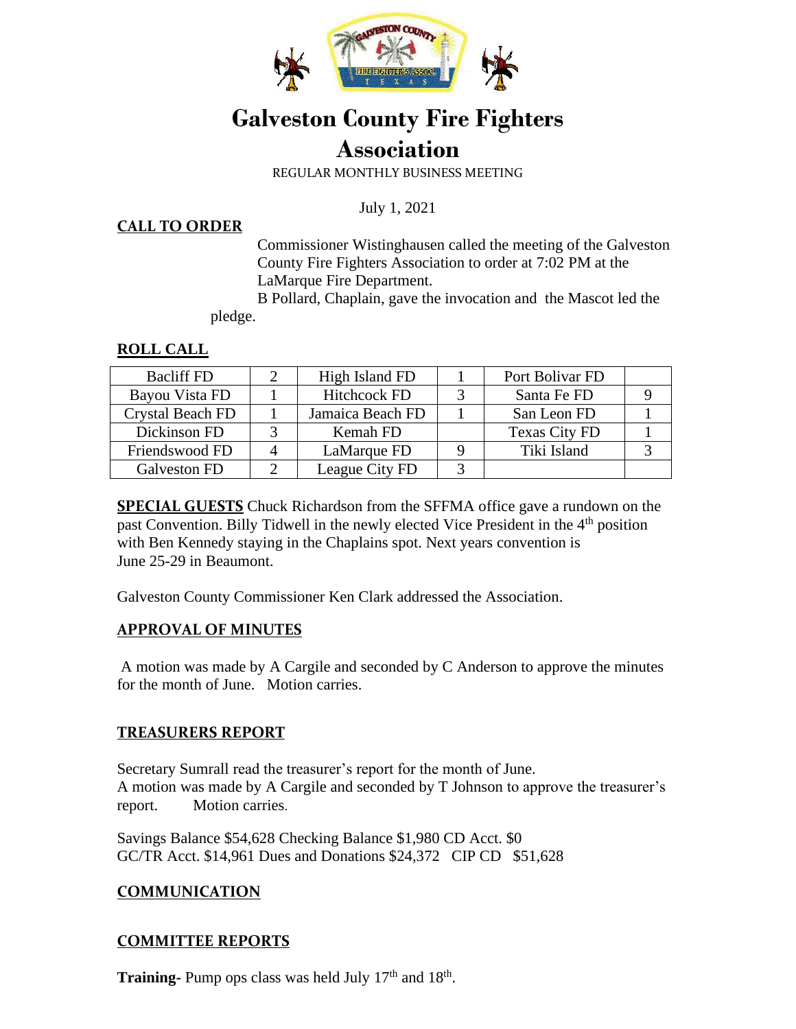

## **Galveston County Fire Fighters Association**

REGULAR MONTHLY BUSINESS MEETING

July 1, 2021

#### **CALL TO ORDER**

Commissioner Wistinghausen called the meeting of the Galveston County Fire Fighters Association to order at 7:02 PM at the LaMarque Fire Department.

 B Pollard, Chaplain, gave the invocation and the Mascot led the pledge.

## **ROLL CALL**

| <b>Bacliff FD</b>       | High Island FD      | Port Bolivar FD      |  |
|-------------------------|---------------------|----------------------|--|
| Bayou Vista FD          | <b>Hitchcock FD</b> | Santa Fe FD          |  |
| <b>Crystal Beach FD</b> | Jamaica Beach FD    | San Leon FD          |  |
| Dickinson FD            | Kemah FD            | <b>Texas City FD</b> |  |
| Friendswood FD          | LaMarque FD         | Tiki Island          |  |
| Galveston FD            | League City FD      |                      |  |

**SPECIAL GUESTS** Chuck Richardson from the SFFMA office gave a rundown on the past Convention. Billy Tidwell in the newly elected Vice President in the 4<sup>th</sup> position with Ben Kennedy staying in the Chaplains spot. Next years convention is June 25-29 in Beaumont.

Galveston County Commissioner Ken Clark addressed the Association.

## **APPROVAL OF MINUTES**

A motion was made by A Cargile and seconded by C Anderson to approve the minutes for the month of June. Motion carries.

## **TREASURERS REPORT**

Secretary Sumrall read the treasurer's report for the month of June. A motion was made by A Cargile and seconded by T Johnson to approve the treasurer's report. Motion carries.

Savings Balance \$54,628 Checking Balance \$1,980 CD Acct. \$0 GC/TR Acct. \$14,961 Dues and Donations \$24,372 CIP CD \$51,628

## **COMMUNICATION**

## **COMMITTEE REPORTS**

**Training-** Pump ops class was held July 17<sup>th</sup> and 18<sup>th</sup>.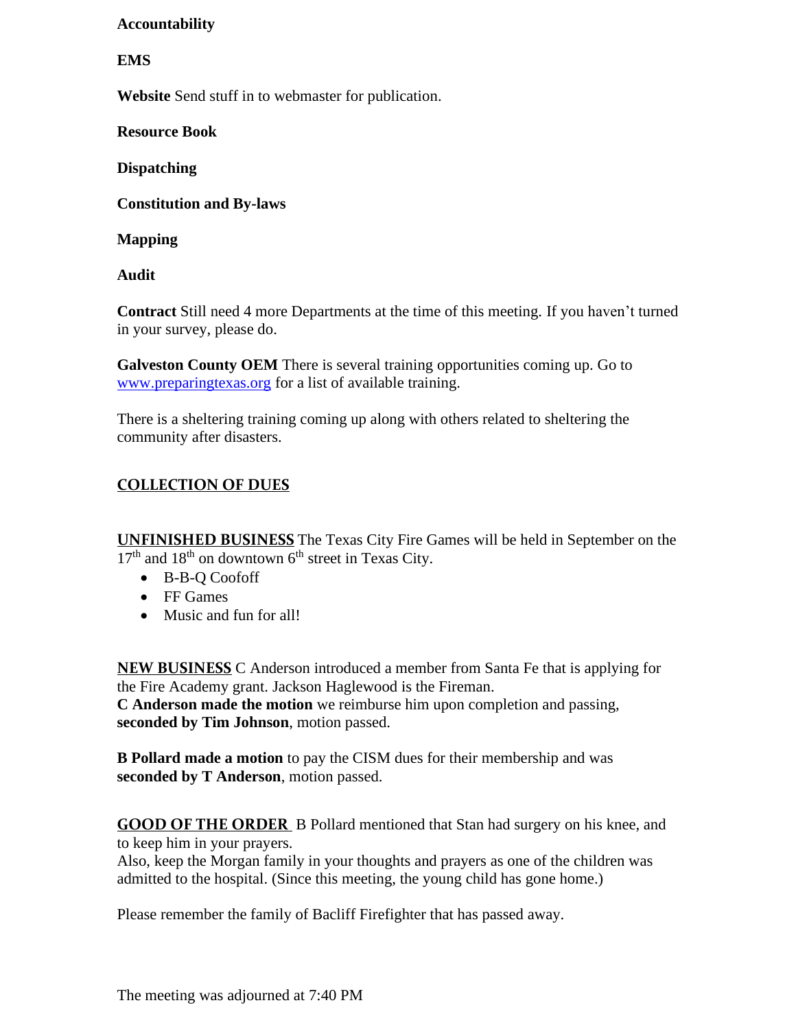## **Accountability**

#### **EMS**

**Website** Send stuff in to webmaster for publication.

**Resource Book** 

**Dispatching** 

**Constitution and By-laws** 

**Mapping** 

**Audit** 

**Contract** Still need 4 more Departments at the time of this meeting. If you haven't turned in your survey, please do.

**Galveston County OEM** There is several training opportunities coming up. Go to [www.preparingtexas.org](http://www.preparingtexas.org/) for a list of available training.

There is a sheltering training coming up along with others related to sheltering the community after disasters.

## **COLLECTION OF DUES**

**UNFINISHED BUSINESS** The Texas City Fire Games will be held in September on the  $17<sup>th</sup>$  and  $18<sup>th</sup>$  on downtown 6<sup>th</sup> street in Texas City.

- B-B-Q Coofoff
- FF Games
- Music and fun for all!

**NEW BUSINESS** C Anderson introduced a member from Santa Fe that is applying for the Fire Academy grant. Jackson Haglewood is the Fireman. **C Anderson made the motion** we reimburse him upon completion and passing, **seconded by Tim Johnson**, motion passed.

**B Pollard made a motion** to pay the CISM dues for their membership and was **seconded by T Anderson**, motion passed.

**GOOD OF THE ORDER** B Pollard mentioned that Stan had surgery on his knee, and to keep him in your prayers.

Also, keep the Morgan family in your thoughts and prayers as one of the children was admitted to the hospital. (Since this meeting, the young child has gone home.)

Please remember the family of Bacliff Firefighter that has passed away.